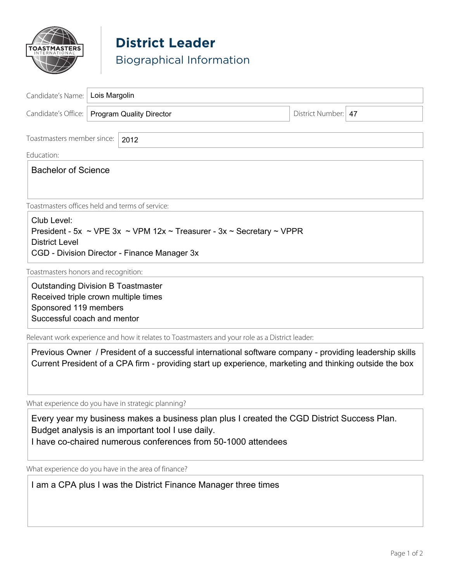

## **District Leader** Biographical Information

| Candidate's Name:   Lois Margolin                                                                                                         |  |                                                                                                                                                                                                                    |                       |  |
|-------------------------------------------------------------------------------------------------------------------------------------------|--|--------------------------------------------------------------------------------------------------------------------------------------------------------------------------------------------------------------------|-----------------------|--|
| Candidate's Office:   Program Quality Director                                                                                            |  |                                                                                                                                                                                                                    | District Number:   47 |  |
| Toastmasters member since:<br>2012                                                                                                        |  |                                                                                                                                                                                                                    |                       |  |
| Education:                                                                                                                                |  |                                                                                                                                                                                                                    |                       |  |
| <b>Bachelor of Science</b>                                                                                                                |  |                                                                                                                                                                                                                    |                       |  |
| Toastmasters offices held and terms of service:                                                                                           |  |                                                                                                                                                                                                                    |                       |  |
| Club Level:<br><b>District Level</b>                                                                                                      |  | President - 5x ~ VPE 3x ~ VPM 12x ~ Treasurer - 3x ~ Secretary ~ VPPR<br>CGD - Division Director - Finance Manager 3x                                                                                              |                       |  |
| Toastmasters honors and recognition:                                                                                                      |  |                                                                                                                                                                                                                    |                       |  |
| <b>Outstanding Division B Toastmaster</b><br>Received triple crown multiple times<br>Sponsored 119 members<br>Successful coach and mentor |  |                                                                                                                                                                                                                    |                       |  |
|                                                                                                                                           |  | Relevant work experience and how it relates to Toastmasters and your role as a District leader:                                                                                                                    |                       |  |
|                                                                                                                                           |  | Previous Owner / President of a successful international software company - providing leadership skills<br>Current President of a CPA firm - providing start up experience, marketing and thinking outside the box |                       |  |

What experience do you have in strategic planning?

Every year my business makes a business plan plus I created the CGD District Success Plan. Budget analysis is an important tool I use daily. I have co-chaired numerous conferences from 50-1000 attendees

What experience do you have in the area of finance?

I am a CPA plus I was the District Finance Manager three times